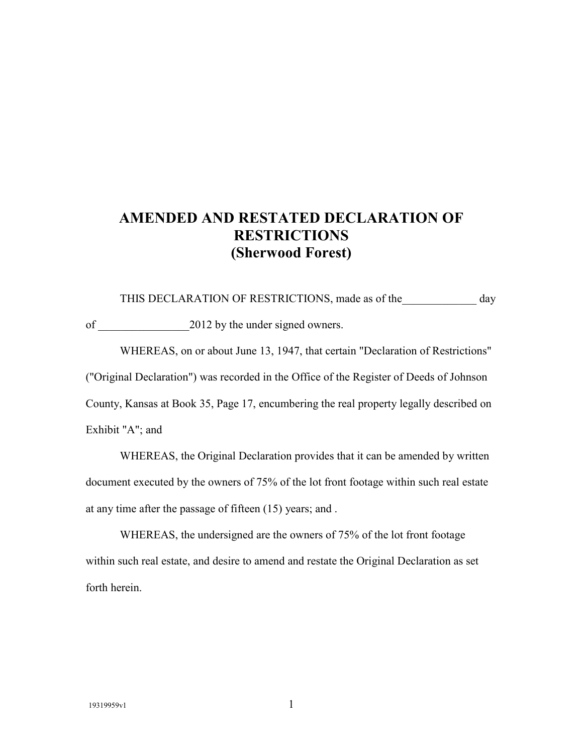## **AMENDED AND RESTATED DECLARATION OF RESTRICTIONS (Sherwood Forest)**

THIS DECLARATION OF RESTRICTIONS, made as of the day of 2012 by the under signed owners.

 WHEREAS, on or about June 13, 1947, that certain "Declaration of Restrictions" ("Original Declaration") was recorded in the Office of the Register of Deeds of Johnson County, Kansas at Book 35, Page 17, encumbering the real property legally described on Exhibit "A"; and

 WHEREAS, the Original Declaration provides that it can be amended by written document executed by the owners of 75% of the lot front footage within such real estate at any time after the passage of fifteen (15) years; and .

 WHEREAS, the undersigned are the owners of 75% of the lot front footage within such real estate, and desire to amend and restate the Original Declaration as set forth herein.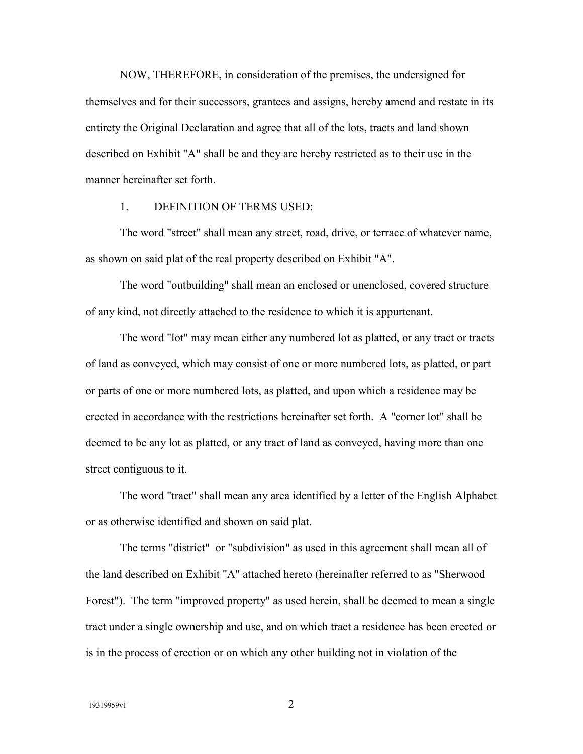NOW, THEREFORE, in consideration of the premises, the undersigned for themselves and for their successors, grantees and assigns, hereby amend and restate in its entirety the Original Declaration and agree that all of the lots, tracts and land shown described on Exhibit "A" shall be and they are hereby restricted as to their use in the manner hereinafter set forth.

## 1. DEFINITION OF TERMS USED:

 The word "street" shall mean any street, road, drive, or terrace of whatever name, as shown on said plat of the real property described on Exhibit "A".

 The word "outbuilding" shall mean an enclosed or unenclosed, covered structure of any kind, not directly attached to the residence to which it is appurtenant.

 The word "lot" may mean either any numbered lot as platted, or any tract or tracts of land as conveyed, which may consist of one or more numbered lots, as platted, or part or parts of one or more numbered lots, as platted, and upon which a residence may be erected in accordance with the restrictions hereinafter set forth. A "corner lot" shall be deemed to be any lot as platted, or any tract of land as conveyed, having more than one street contiguous to it.

 The word "tract" shall mean any area identified by a letter of the English Alphabet or as otherwise identified and shown on said plat.

 The terms "district" or "subdivision" as used in this agreement shall mean all of the land described on Exhibit "A" attached hereto (hereinafter referred to as "Sherwood Forest"). The term "improved property" as used herein, shall be deemed to mean a single tract under a single ownership and use, and on which tract a residence has been erected or is in the process of erection or on which any other building not in violation of the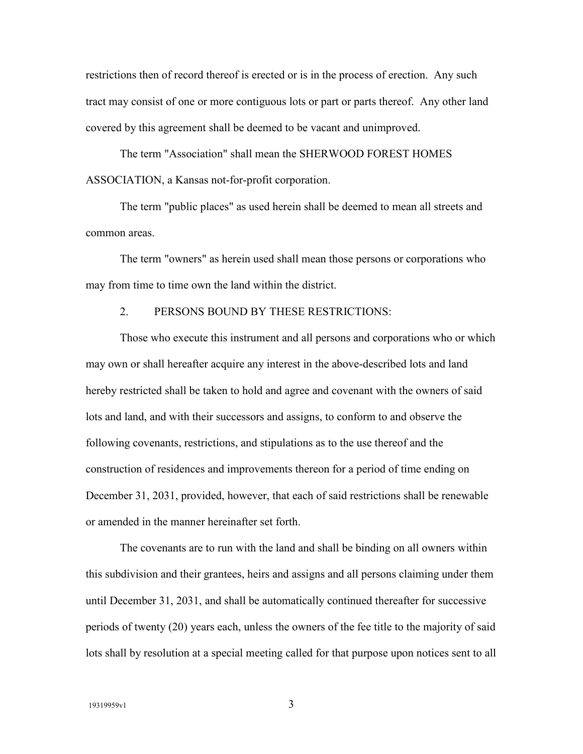restrictions then of record thereof is erected or is in the process of erection. Any such tract may consist of one or more contiguous lots or part or parts thereof. Any other land covered by this agreement shall be deemed to be vacant and unimproved.

 The term "Association" shall mean the SHERWOOD FOREST HOMES ASSOCIATION, a Kansas not-for-profit corporation.

 The term "public places" as used herein shall be deemed to mean all streets and common areas.

 The term "owners" as herein used shall mean those persons or corporations who may from time to time own the land within the district.

## 2. PERSONS BOUND BY THESE RESTRICTIONS:

 Those who execute this instrument and all persons and corporations who or which may own or shall hereafter acquire any interest in the above-described lots and land hereby restricted shall be taken to hold and agree and covenant with the owners of said lots and land, and with their successors and assigns, to conform to and observe the following covenants, restrictions, and stipulations as to the use thereof and the construction of residences and improvements thereon for a period of time ending on December 31, 2031, provided, however, that each of said restrictions shall be renewable or amended in the manner hereinafter set forth.

 The covenants are to run with the land and shall be binding on all owners within this subdivision and their grantees, heirs and assigns and all persons claiming under them until December 31, 2031, and shall be automatically continued thereafter for successive periods of twenty (20) years each, unless the owners of the fee title to the majority of said lots shall by resolution at a special meeting called for that purpose upon notices sent to all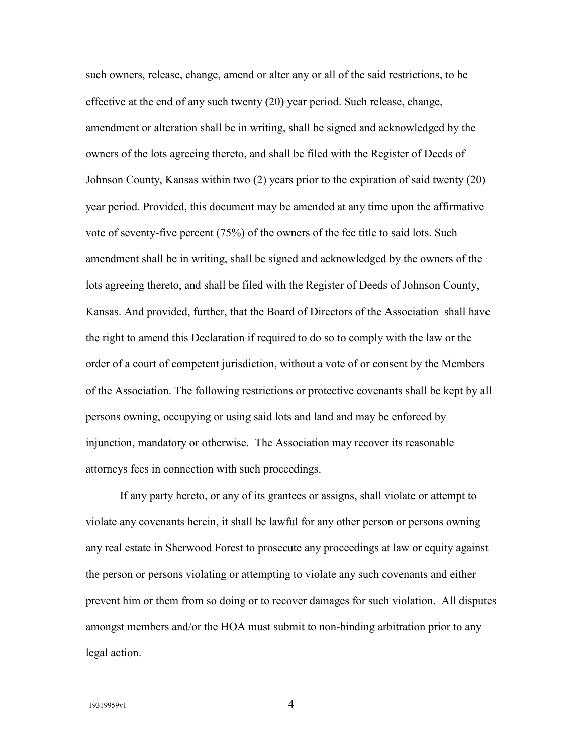such owners, release, change, amend or alter any or all of the said restrictions, to be effective at the end of any such twenty (20) year period. Such release, change, amendment or alteration shall be in writing, shall be signed and acknowledged by the owners of the lots agreeing thereto, and shall be filed with the Register of Deeds of Johnson County, Kansas within two (2) years prior to the expiration of said twenty (20) year period. Provided, this document may be amended at any time upon the affirmative vote of seventy-five percent (75%) of the owners of the fee title to said lots. Such amendment shall be in writing, shall be signed and acknowledged by the owners of the lots agreeing thereto, and shall be filed with the Register of Deeds of Johnson County, Kansas. And provided, further, that the Board of Directors of the Association shall have the right to amend this Declaration if required to do so to comply with the law or the order of a court of competent jurisdiction, without a vote of or consent by the Members of the Association. The following restrictions or protective covenants shall be kept by all persons owning, occupying or using said lots and land and may be enforced by injunction, mandatory or otherwise. The Association may recover its reasonable attorneys fees in connection with such proceedings.

 If any party hereto, or any of its grantees or assigns, shall violate or attempt to violate any covenants herein, it shall be lawful for any other person or persons owning any real estate in Sherwood Forest to prosecute any proceedings at law or equity against the person or persons violating or attempting to violate any such covenants and either prevent him or them from so doing or to recover damages for such violation. All disputes amongst members and/or the HOA must submit to non-binding arbitration prior to any legal action.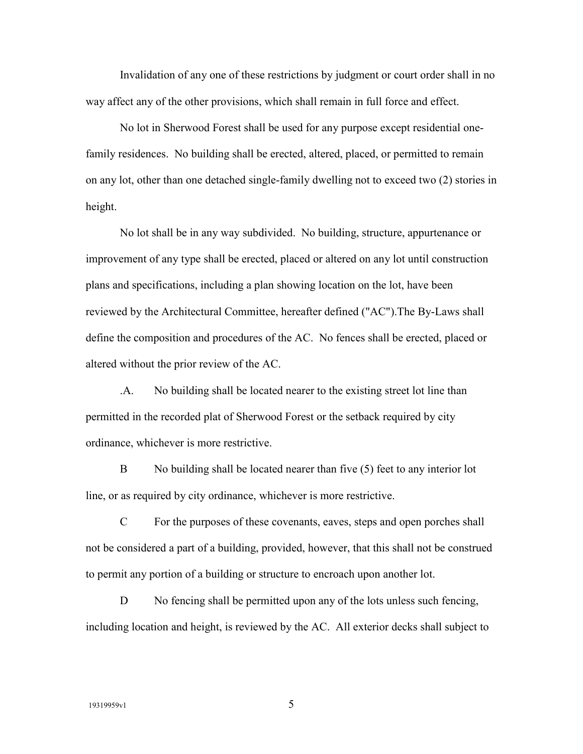Invalidation of any one of these restrictions by judgment or court order shall in no way affect any of the other provisions, which shall remain in full force and effect.

 No lot in Sherwood Forest shall be used for any purpose except residential onefamily residences. No building shall be erected, altered, placed, or permitted to remain on any lot, other than one detached single-family dwelling not to exceed two (2) stories in height.

 No lot shall be in any way subdivided. No building, structure, appurtenance or improvement of any type shall be erected, placed or altered on any lot until construction plans and specifications, including a plan showing location on the lot, have been reviewed by the Architectural Committee, hereafter defined ("AC").The By-Laws shall define the composition and procedures of the AC. No fences shall be erected, placed or altered without the prior review of the AC.

 .A. No building shall be located nearer to the existing street lot line than permitted in the recorded plat of Sherwood Forest or the setback required by city ordinance, whichever is more restrictive.

 B No building shall be located nearer than five (5) feet to any interior lot line, or as required by city ordinance, whichever is more restrictive.

 C For the purposes of these covenants, eaves, steps and open porches shall not be considered a part of a building, provided, however, that this shall not be construed to permit any portion of a building or structure to encroach upon another lot.

D No fencing shall be permitted upon any of the lots unless such fencing, including location and height, is reviewed by the AC. All exterior decks shall subject to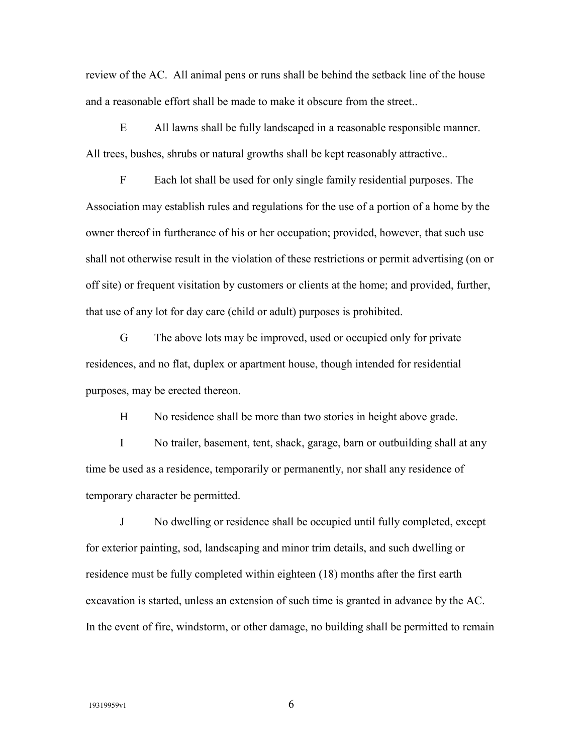review of the AC. All animal pens or runs shall be behind the setback line of the house and a reasonable effort shall be made to make it obscure from the street..

 E All lawns shall be fully landscaped in a reasonable responsible manner. All trees, bushes, shrubs or natural growths shall be kept reasonably attractive..

 F Each lot shall be used for only single family residential purposes. The Association may establish rules and regulations for the use of a portion of a home by the owner thereof in furtherance of his or her occupation; provided, however, that such use shall not otherwise result in the violation of these restrictions or permit advertising (on or off site) or frequent visitation by customers or clients at the home; and provided, further, that use of any lot for day care (child or adult) purposes is prohibited.

 G The above lots may be improved, used or occupied only for private residences, and no flat, duplex or apartment house, though intended for residential purposes, may be erected thereon.

H No residence shall be more than two stories in height above grade.

 I No trailer, basement, tent, shack, garage, barn or outbuilding shall at any time be used as a residence, temporarily or permanently, nor shall any residence of temporary character be permitted.

 J No dwelling or residence shall be occupied until fully completed, except for exterior painting, sod, landscaping and minor trim details, and such dwelling or residence must be fully completed within eighteen (18) months after the first earth excavation is started, unless an extension of such time is granted in advance by the AC. In the event of fire, windstorm, or other damage, no building shall be permitted to remain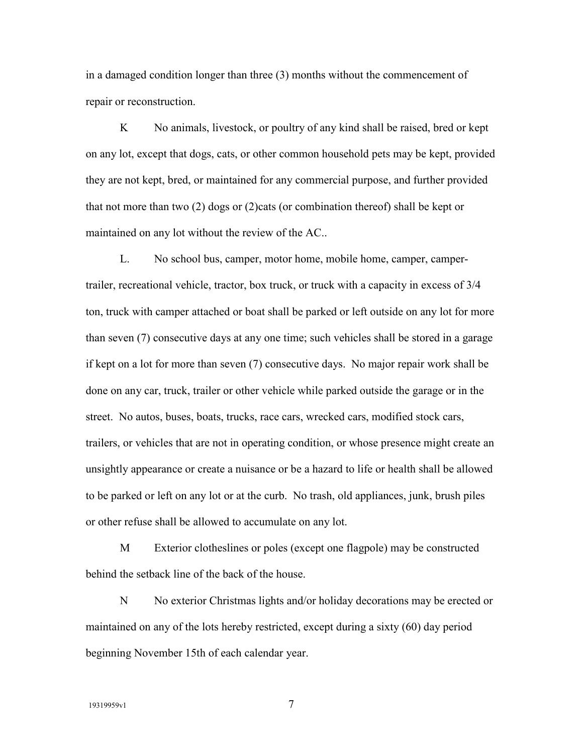in a damaged condition longer than three (3) months without the commencement of repair or reconstruction.

K No animals, livestock, or poultry of any kind shall be raised, bred or kept on any lot, except that dogs, cats, or other common household pets may be kept, provided they are not kept, bred, or maintained for any commercial purpose, and further provided that not more than two (2) dogs or (2)cats (or combination thereof) shall be kept or maintained on any lot without the review of the AC..

 L. No school bus, camper, motor home, mobile home, camper, campertrailer, recreational vehicle, tractor, box truck, or truck with a capacity in excess of 3/4 ton, truck with camper attached or boat shall be parked or left outside on any lot for more than seven (7) consecutive days at any one time; such vehicles shall be stored in a garage if kept on a lot for more than seven (7) consecutive days. No major repair work shall be done on any car, truck, trailer or other vehicle while parked outside the garage or in the street. No autos, buses, boats, trucks, race cars, wrecked cars, modified stock cars, trailers, or vehicles that are not in operating condition, or whose presence might create an unsightly appearance or create a nuisance or be a hazard to life or health shall be allowed to be parked or left on any lot or at the curb. No trash, old appliances, junk, brush piles or other refuse shall be allowed to accumulate on any lot.

 M Exterior clotheslines or poles (except one flagpole) may be constructed behind the setback line of the back of the house.

N No exterior Christmas lights and/or holiday decorations may be erected or maintained on any of the lots hereby restricted, except during a sixty (60) day period beginning November 15th of each calendar year.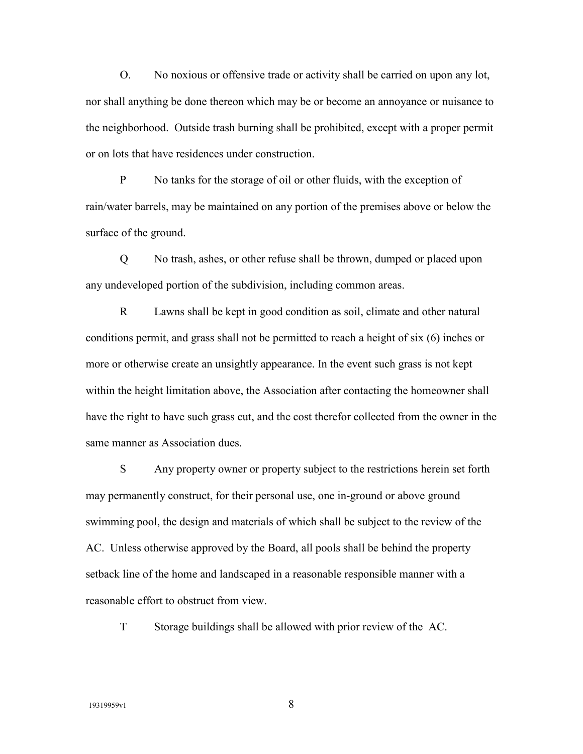O. No noxious or offensive trade or activity shall be carried on upon any lot, nor shall anything be done thereon which may be or become an annoyance or nuisance to the neighborhood. Outside trash burning shall be prohibited, except with a proper permit or on lots that have residences under construction.

 P No tanks for the storage of oil or other fluids, with the exception of rain/water barrels, may be maintained on any portion of the premises above or below the surface of the ground.

 Q No trash, ashes, or other refuse shall be thrown, dumped or placed upon any undeveloped portion of the subdivision, including common areas.

 R Lawns shall be kept in good condition as soil, climate and other natural conditions permit, and grass shall not be permitted to reach a height of six (6) inches or more or otherwise create an unsightly appearance. In the event such grass is not kept within the height limitation above, the Association after contacting the homeowner shall have the right to have such grass cut, and the cost therefor collected from the owner in the same manner as Association dues.

 S Any property owner or property subject to the restrictions herein set forth may permanently construct, for their personal use, one in-ground or above ground swimming pool, the design and materials of which shall be subject to the review of the AC. Unless otherwise approved by the Board, all pools shall be behind the property setback line of the home and landscaped in a reasonable responsible manner with a reasonable effort to obstruct from view.

T Storage buildings shall be allowed with prior review of the AC.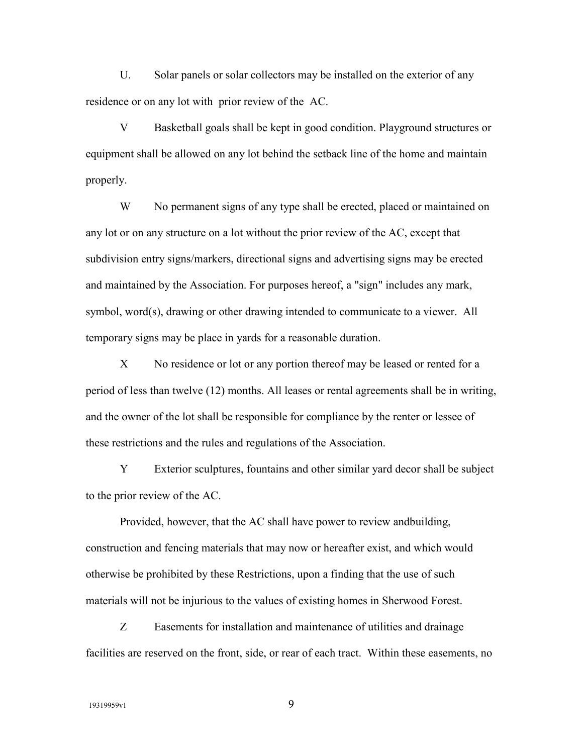U. Solar panels or solar collectors may be installed on the exterior of any residence or on any lot with prior review of the AC.

 V Basketball goals shall be kept in good condition. Playground structures or equipment shall be allowed on any lot behind the setback line of the home and maintain properly.

W No permanent signs of any type shall be erected, placed or maintained on any lot or on any structure on a lot without the prior review of the AC, except that subdivision entry signs/markers, directional signs and advertising signs may be erected and maintained by the Association. For purposes hereof, a "sign" includes any mark, symbol, word(s), drawing or other drawing intended to communicate to a viewer. All temporary signs may be place in yards for a reasonable duration.

X No residence or lot or any portion thereof may be leased or rented for a period of less than twelve (12) months. All leases or rental agreements shall be in writing, and the owner of the lot shall be responsible for compliance by the renter or lessee of these restrictions and the rules and regulations of the Association.

 Y Exterior sculptures, fountains and other similar yard decor shall be subject to the prior review of the AC.

 Provided, however, that the AC shall have power to review andbuilding, construction and fencing materials that may now or hereafter exist, and which would otherwise be prohibited by these Restrictions, upon a finding that the use of such materials will not be injurious to the values of existing homes in Sherwood Forest.

 Z Easements for installation and maintenance of utilities and drainage facilities are reserved on the front, side, or rear of each tract. Within these easements, no